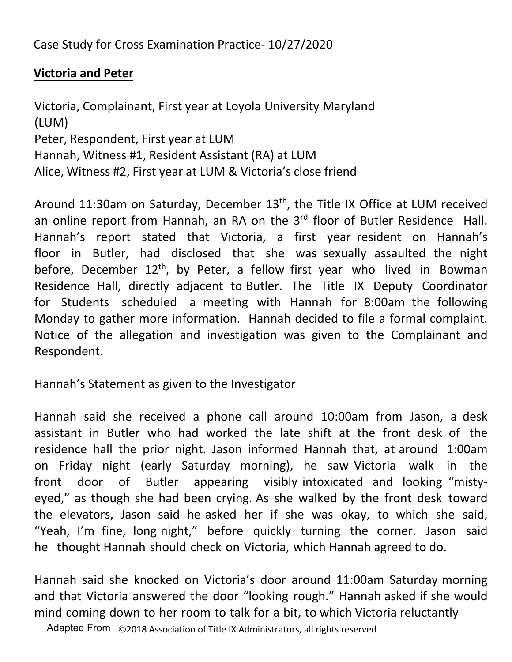Case Study for Cross Examination Practice- 10/27/2020

# **Victoria and Peter**

Victoria, Complainant, First year at Loyola University Maryland (LUM) Peter, Respondent, First year at LUM Hannah, Witness #1, Resident Assistant (RA) at LUM Alice, Witness #2, First year at LUM & Victoria's close friend

Around 11:30am on Saturday, December 13<sup>th</sup>, the Title IX Office at LUM received an online report from Hannah, an RA on the 3<sup>rd</sup> floor of Butler Residence Hall. Hannah's report stated that Victoria, a first year resident on Hannah's floor in Butler, had disclosed that she was sexually assaulted the night before, December  $12<sup>th</sup>$ , by Peter, a fellow first year who lived in Bowman Residence Hall, directly adjacent to Butler. The Title IX Deputy Coordinator for Students scheduled a meeting with Hannah for 8:00am the following Monday to gather more information. Hannah decided to file a formal complaint. Notice of the allegation and investigation was given to the Complainant and Respondent.

# Hannah's Statement as given to the Investigator

Hannah said she received a phone call around 10:00am from Jason, a desk assistant in Butler who had worked the late shift at the front desk of the residence hall the prior night. Jason informed Hannah that, at around 1:00am on Friday night (early Saturday morning), he saw Victoria walk in the front door of Butler appearing visibly intoxicated and looking "mistyeyed," as though she had been crying. As she walked by the front desk toward the elevators, Jason said he asked her if she was okay, to which she said, "Yeah, I'm fine, long night," before quickly turning the corner. Jason said he thought Hannah should check on Victoria, which Hannah agreed to do.

Hannah said she knocked on Victoria's door around 11:00am Saturday morning and that Victoria answered the door "looking rough." Hannah asked if she would mind coming down to her room to talk for a bit, to which Victoria reluctantly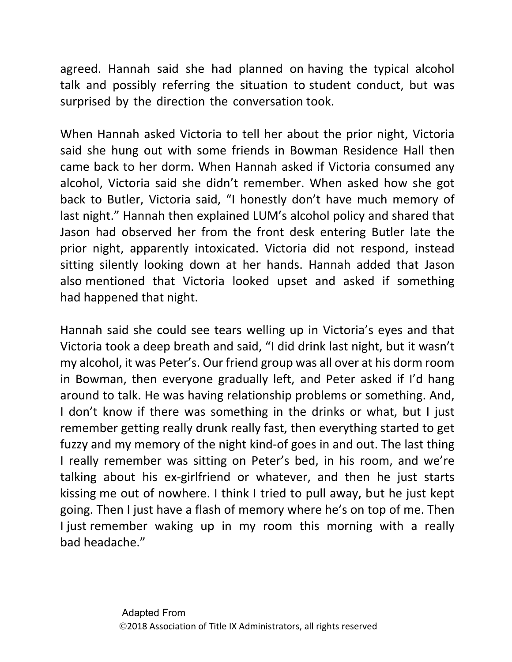agreed. Hannah said she had planned on having the typical alcohol talk and possibly referring the situation to student conduct, but was surprised by the direction the conversation took.

When Hannah asked Victoria to tell her about the prior night, Victoria said she hung out with some friends in Bowman Residence Hall then came back to her dorm. When Hannah asked if Victoria consumed any alcohol, Victoria said she didn't remember. When asked how she got back to Butler, Victoria said, "I honestly don't have much memory of last night." Hannah then explained LUM's alcohol policy and shared that Jason had observed her from the front desk entering Butler late the prior night, apparently intoxicated. Victoria did not respond, instead sitting silently looking down at her hands. Hannah added that Jason also mentioned that Victoria looked upset and asked if something had happened that night.

Hannah said she could see tears welling up in Victoria's eyes and that Victoria took a deep breath and said, "I did drink last night, but it wasn't my alcohol, it was Peter's. Our friend group was all over at his dorm room in Bowman, then everyone gradually left, and Peter asked if I'd hang around to talk. He was having relationship problems or something. And, I don't know if there was something in the drinks or what, but I just remember getting really drunk really fast, then everything started to get fuzzy and my memory of the night kind-of goes in and out. The last thing I really remember was sitting on Peter's bed, in his room, and we're talking about his ex-girlfriend or whatever, and then he just starts kissing me out of nowhere. I think I tried to pull away, but he just kept going. Then I just have a flash of memory where he's on top of me. Then I just remember waking up in my room this morning with a really bad headache."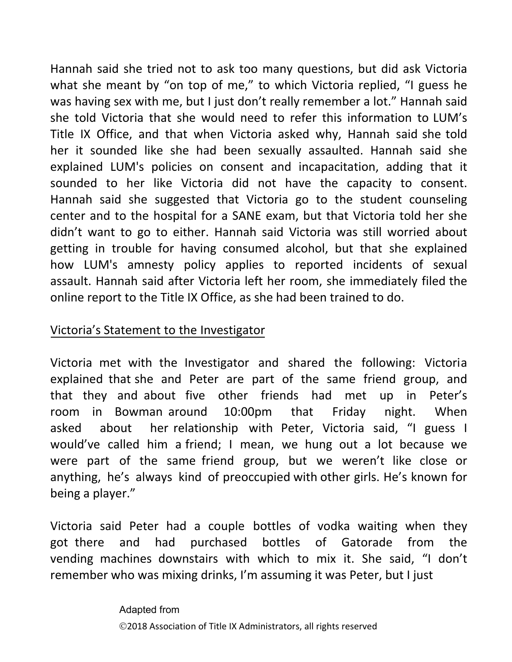Hannah said she tried not to ask too many questions, but did ask Victoria what she meant by "on top of me," to which Victoria replied, "I guess he was having sex with me, but I just don't really remember a lot." Hannah said she told Victoria that she would need to refer this information to LUM's Title IX Office, and that when Victoria asked why, Hannah said she told her it sounded like she had been sexually assaulted. Hannah said she explained LUM's policies on consent and incapacitation, adding that it sounded to her like Victoria did not have the capacity to consent. Hannah said she suggested that Victoria go to the student counseling center and to the hospital for a SANE exam, but that Victoria told her she didn't want to go to either. Hannah said Victoria was still worried about getting in trouble for having consumed alcohol, but that she explained how LUM's amnesty policy applies to reported incidents of sexual assault. Hannah said after Victoria left her room, she immediately filed the online report to the Title IX Office, as she had been trained to do.

## Victoria's Statement to the Investigator

Victoria met with the Investigator and shared the following: Victoria explained that she and Peter are part of the same friend group, and that they and about five other friends had met up in Peter's room in Bowman around 10:00pm that Friday night. When asked about her relationship with Peter, Victoria said, "I guess I would've called him a friend; I mean, we hung out a lot because we were part of the same friend group, but we weren't like close or anything, he's always kind of preoccupied with other girls. He's known for being a player."

Victoria said Peter had a couple bottles of vodka waiting when they got there and had purchased bottles of Gatorade from the vending machines downstairs with which to mix it. She said, "I don't remember who was mixing drinks, I'm assuming it was Peter, but I just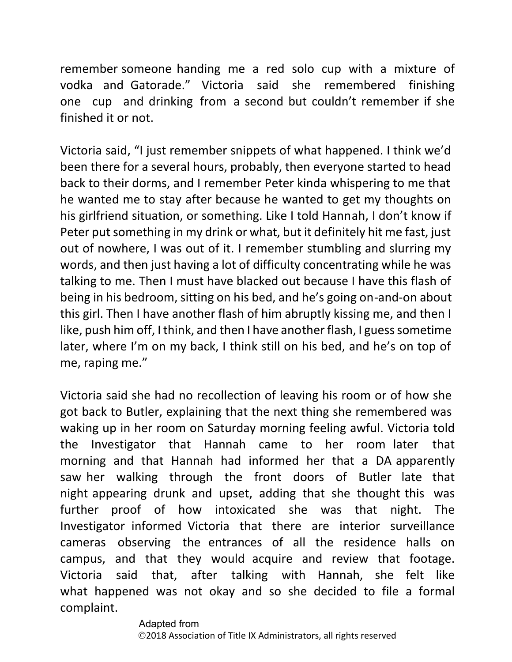remember someone handing me a red solo cup with a mixture of vodka and Gatorade." Victoria said she remembered finishing one cup and drinking from a second but couldn't remember if she finished it or not.

Victoria said, "I just remember snippets of what happened. I think we'd been there for a several hours, probably, then everyone started to head back to their dorms, and I remember Peter kinda whispering to me that he wanted me to stay after because he wanted to get my thoughts on his girlfriend situation, or something. Like I told Hannah, I don't know if Peter put something in my drink or what, but it definitely hit me fast, just out of nowhere, I was out of it. I remember stumbling and slurring my words, and then just having a lot of difficulty concentrating while he was talking to me. Then I must have blacked out because I have this flash of being in his bedroom, sitting on his bed, and he's going on-and-on about this girl. Then I have another flash of him abruptly kissing me, and then I like, push him off, I think, and then I have another flash, I guess sometime later, where I'm on my back, I think still on his bed, and he's on top of me, raping me."

Victoria said she had no recollection of leaving his room or of how she got back to Butler, explaining that the next thing she remembered was waking up in her room on Saturday morning feeling awful. Victoria told the Investigator that Hannah came to her room later that morning and that Hannah had informed her that a DA apparently saw her walking through the front doors of Butler late that night appearing drunk and upset, adding that she thought this was further proof of how intoxicated she was that night. The Investigator informed Victoria that there are interior surveillance cameras observing the entrances of all the residence halls on campus, and that they would acquire and review that footage. Victoria said that, after talking with Hannah, she felt like what happened was not okay and so she decided to file a formal complaint.

#### Adapted from 2018 Association of Title IX Administrators, all rights reserved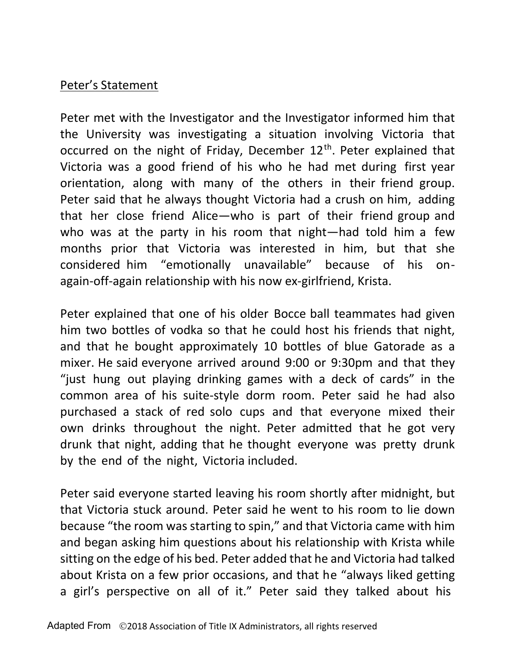### Peter's Statement

Peter met with the Investigator and the Investigator informed him that the University was investigating a situation involving Victoria that occurred on the night of Friday, December 12<sup>th</sup>. Peter explained that Victoria was a good friend of his who he had met during first year orientation, along with many of the others in their friend group. Peter said that he always thought Victoria had a crush on him, adding that her close friend Alice—who is part of their friend group and who was at the party in his room that night—had told him a few months prior that Victoria was interested in him, but that she considered him "emotionally unavailable" because of his onagain-off-again relationship with his now ex-girlfriend, Krista.

Peter explained that one of his older Bocce ball teammates had given him two bottles of vodka so that he could host his friends that night, and that he bought approximately 10 bottles of blue Gatorade as a mixer. He said everyone arrived around 9:00 or 9:30pm and that they "just hung out playing drinking games with a deck of cards" in the common area of his suite-style dorm room. Peter said he had also purchased a stack of red solo cups and that everyone mixed their own drinks throughout the night. Peter admitted that he got very drunk that night, adding that he thought everyone was pretty drunk by the end of the night, Victoria included.

Peter said everyone started leaving his room shortly after midnight, but that Victoria stuck around. Peter said he went to his room to lie down because "the room was starting to spin," and that Victoria came with him and began asking him questions about his relationship with Krista while sitting on the edge of his bed. Peter added that he and Victoria had talked about Krista on a few prior occasions, and that he "always liked getting a girl's perspective on all of it." Peter said they talked about his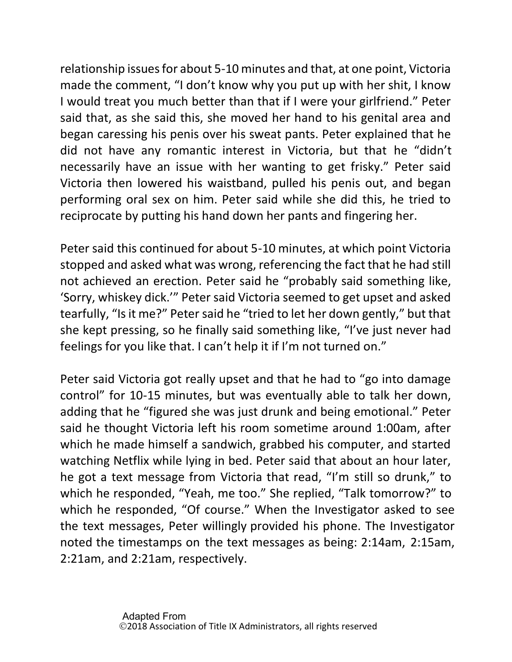relationship issuesfor about 5-10 minutes and that, at one point, Victoria made the comment, "I don't know why you put up with her shit, I know I would treat you much better than that if I were your girlfriend." Peter said that, as she said this, she moved her hand to his genital area and began caressing his penis over his sweat pants. Peter explained that he did not have any romantic interest in Victoria, but that he "didn't necessarily have an issue with her wanting to get frisky." Peter said Victoria then lowered his waistband, pulled his penis out, and began performing oral sex on him. Peter said while she did this, he tried to reciprocate by putting his hand down her pants and fingering her.

Peter said this continued for about 5-10 minutes, at which point Victoria stopped and asked what was wrong, referencing the fact that he had still not achieved an erection. Peter said he "probably said something like, 'Sorry, whiskey dick.'" Peter said Victoria seemed to get upset and asked tearfully, "Is it me?" Peter said he "tried to let her down gently," but that she kept pressing, so he finally said something like, "I've just never had feelings for you like that. I can't help it if I'm not turned on."

Peter said Victoria got really upset and that he had to "go into damage control" for 10-15 minutes, but was eventually able to talk her down, adding that he "figured she was just drunk and being emotional." Peter said he thought Victoria left his room sometime around 1:00am, after which he made himself a sandwich, grabbed his computer, and started watching Netflix while lying in bed. Peter said that about an hour later, he got a text message from Victoria that read, "I'm still so drunk," to which he responded, "Yeah, me too." She replied, "Talk tomorrow?" to which he responded, "Of course." When the Investigator asked to see the text messages, Peter willingly provided his phone. The Investigator noted the timestamps on the text messages as being: 2:14am, 2:15am, 2:21am, and 2:21am, respectively.